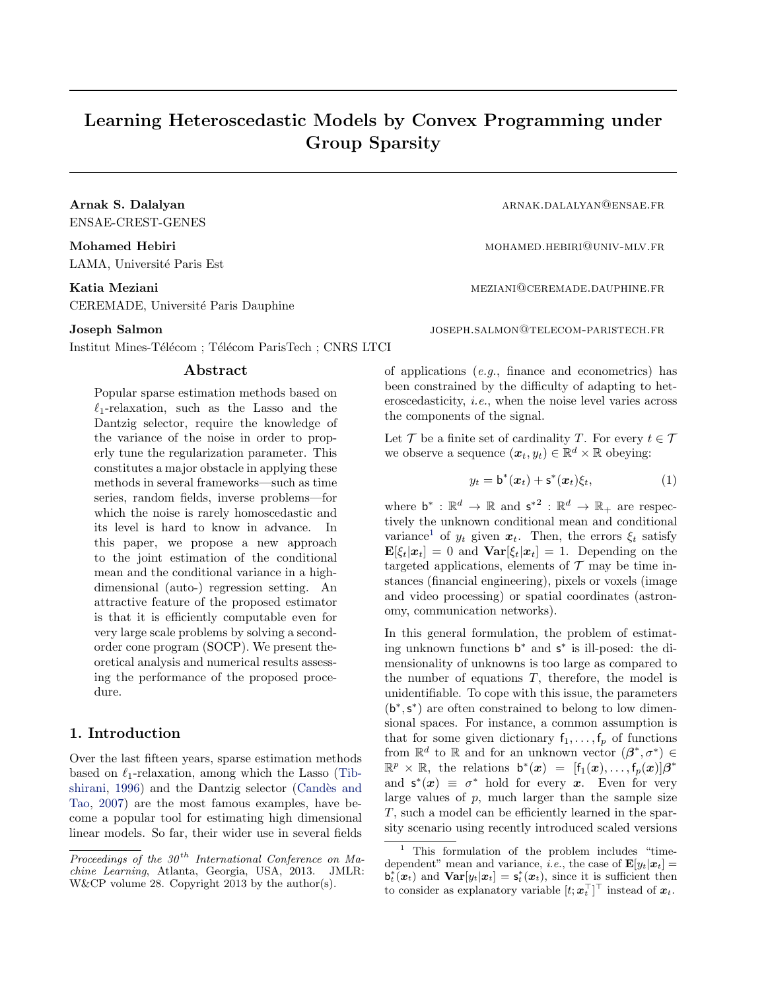## Learning Heteroscedastic Models by Convex Programming under Group Sparsity

ENSAE-CREST-GENES

LAMA, Université Paris Est

# CEREMADE, Université Paris Dauphine

Institut Mines-Télécom ; Télécom ParisTech ; CNRS LTCI

#### Abstract

Popular sparse estimation methods based on  $\ell_1$ -relaxation, such as the Lasso and the Dantzig selector, require the knowledge of the variance of the noise in order to properly tune the regularization parameter. This constitutes a major obstacle in applying these methods in several frameworks—such as time series, random fields, inverse problems—for which the noise is rarely homoscedastic and its level is hard to know in advance. In this paper, we propose a new approach to the joint estimation of the conditional mean and the conditional variance in a highdimensional (auto-) regression setting. An attractive feature of the proposed estimator is that it is efficiently computable even for very large scale problems by solving a secondorder cone program (SOCP). We present theoretical analysis and numerical results assessing the performance of the proposed procedure.

#### 1. Introduction

Over the last fifteen years, sparse estimation methods based on  $\ell_1$ -relaxation, among which the Lasso (Tibshirani, 1996) and the Dantzig selector (Candès and Tao, 2007) are the most famous examples, have become a popular tool for estimating high dimensional linear models. So far, their wider use in several fields

Arnak S. Dalalyan arnak.dalalar arnak.dalalar arnak.dalalar arnak.dalalar arnak.dalalar arnak.dalalar arnak.dala

Mohamed Hebiri mohamed.hebiri mohamed.hebiri mohamed.hebiri mohamed.hebiri mohamed.hebiri mohamed.hebiri mohamed.hebiri mohamed.hebiri mohamed.hebiri mohamed.hebiri mohamed.hebiri mohamed.hebiri mohamed.hebiri mohamed.hebi

Katia Meziani mezi mezinani mezinang dikenali mezintente mezintente mezinte mezinte mezinte mezinte mezinte me

Joseph Salmon JOSEPH.SALMON@TELECOM-PARISTECH.FR

of applications (e.g., finance and econometrics) has been constrained by the difficulty of adapting to heteroscedasticity, i.e., when the noise level varies across the components of the signal.

Let  $\mathcal T$  be a finite set of cardinality T. For every  $t \in \mathcal T$ we observe a sequence  $(\boldsymbol{x}_t, y_t) \in \mathbb{R}^d \times \mathbb{R}$  obeying:

$$
y_t = \mathsf{b}^*(\boldsymbol{x}_t) + \mathsf{s}^*(\boldsymbol{x}_t)\xi_t,
$$
 (1)

where  $\mathbf{b}^* : \mathbb{R}^d \to \mathbb{R}$  and  $\mathsf{s}^{*2} : \mathbb{R}^d \to \mathbb{R}_+$  are respectively the unknown conditional mean and conditional variance<sup>1</sup> of  $y_t$  given  $x_t$ . Then, the errors  $\xi_t$  satisfy  $\mathbf{E}[\xi_t|\boldsymbol{x}_t] = 0$  and  $\mathbf{Var}[\xi_t|\boldsymbol{x}_t] = 1$ . Depending on the targeted applications, elements of  $\mathcal T$  may be time instances (financial engineering), pixels or voxels (image and video processing) or spatial coordinates (astronomy, communication networks).

In this general formulation, the problem of estimating unknown functions b <sup>∗</sup> and s ∗ is ill-posed: the dimensionality of unknowns is too large as compared to the number of equations  $T$ , therefore, the model is unidentifiable. To cope with this issue, the parameters (b<sup>\*</sup>, s<sup>\*</sup>) are often constrained to belong to low dimensional spaces. For instance, a common assumption is that for some given dictionary  $f_1, \ldots, f_p$  of functions from  $\mathbb{R}^d$  to  $\mathbb R$  and for an unknown vector  $(\beta^*, \sigma^*) \in$  $\mathbb{R}^p \times \mathbb{R}$ , the relations  $\mathbf{b}^*(\boldsymbol{x}) = [f_1(\boldsymbol{x}), \ldots, f_p(\boldsymbol{x})] \boldsymbol{\beta}^*$ and  $s^*(x) \equiv \sigma^*$  hold for every x. Even for very large values of  $p$ , much larger than the sample size T, such a model can be efficiently learned in the sparsity scenario using recently introduced scaled versions

Proceedings of the  $30<sup>th</sup>$  International Conference on Machine Learning, Atlanta, Georgia, USA, 2013. JMLR: W&CP volume 28. Copyright 2013 by the author(s).

<sup>&</sup>lt;sup>1</sup> This formulation of the problem includes "timedependent" mean and variance, *i.e.*, the case of  $\mathbf{E}[y_t|\mathbf{x}_t] =$  $\mathbf{b}_t^*(\boldsymbol{x}_t)$  and  $\mathbf{Var}[y_t|\boldsymbol{x}_t] = \mathbf{s}_t^*(\boldsymbol{x}_t)$ , since it is sufficient then to consider as explanatory variable  $[t; \boldsymbol{x}_t^\top]^\top$  instead of  $\boldsymbol{x}_t$ .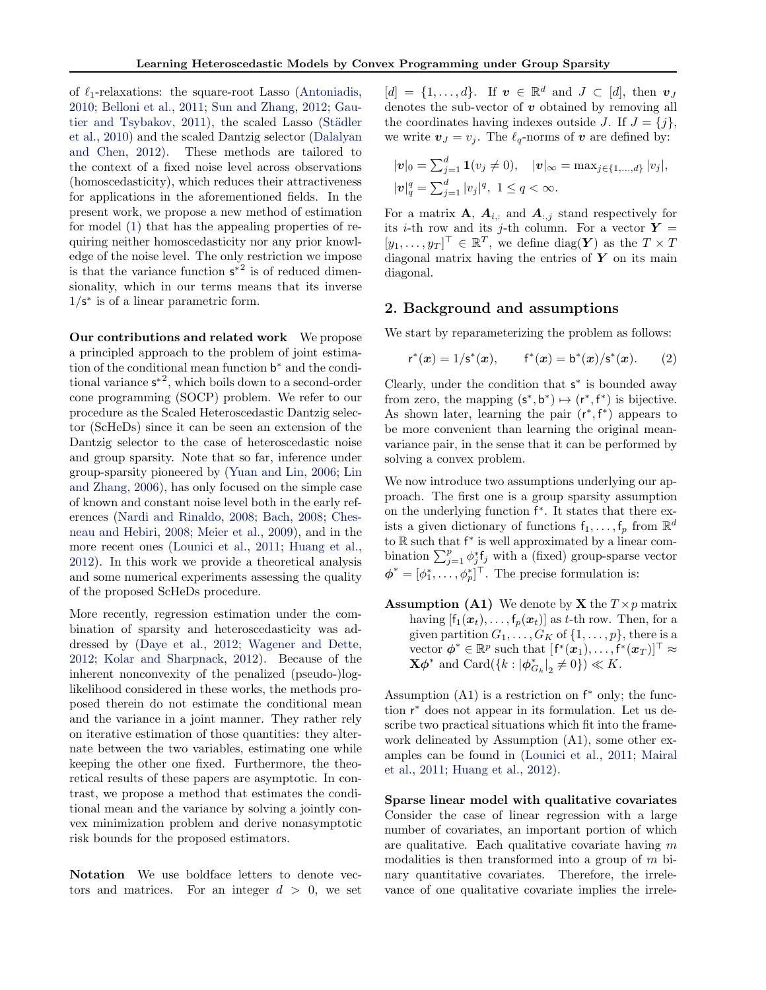of  $\ell_1$ -relaxations: the square-root Lasso (Antoniadis, 2010; Belloni et al., 2011; Sun and Zhang, 2012; Gautier and Tsybakov,  $2011$ ), the scaled Lasso (Städler et al., 2010) and the scaled Dantzig selector (Dalalyan and Chen, 2012). These methods are tailored to the context of a fixed noise level across observations (homoscedasticity), which reduces their attractiveness for applications in the aforementioned fields. In the present work, we propose a new method of estimation for model (1) that has the appealing properties of requiring neither homoscedasticity nor any prior knowledge of the noise level. The only restriction we impose is that the variance function  $s^{*2}$  is of reduced dimensionality, which in our terms means that its inverse  $1/s^*$  is of a linear parametric form.

Our contributions and related work We propose a principled approach to the problem of joint estimation of the conditional mean function b <sup>∗</sup> and the conditional variance  $s^{*2}$ , which boils down to a second-order cone programming (SOCP) problem. We refer to our procedure as the Scaled Heteroscedastic Dantzig selector (ScHeDs) since it can be seen an extension of the Dantzig selector to the case of heteroscedastic noise and group sparsity. Note that so far, inference under group-sparsity pioneered by (Yuan and Lin, 2006; Lin and Zhang, 2006), has only focused on the simple case of known and constant noise level both in the early references (Nardi and Rinaldo, 2008; Bach, 2008; Chesneau and Hebiri, 2008; Meier et al., 2009), and in the more recent ones (Lounici et al., 2011; Huang et al., 2012). In this work we provide a theoretical analysis and some numerical experiments assessing the quality of the proposed ScHeDs procedure.

More recently, regression estimation under the combination of sparsity and heteroscedasticity was addressed by (Daye et al., 2012; Wagener and Dette, 2012; Kolar and Sharpnack, 2012). Because of the inherent nonconvexity of the penalized (pseudo-)loglikelihood considered in these works, the methods proposed therein do not estimate the conditional mean and the variance in a joint manner. They rather rely on iterative estimation of those quantities: they alternate between the two variables, estimating one while keeping the other one fixed. Furthermore, the theoretical results of these papers are asymptotic. In contrast, we propose a method that estimates the conditional mean and the variance by solving a jointly convex minimization problem and derive nonasymptotic risk bounds for the proposed estimators.

Notation We use boldface letters to denote vectors and matrices. For an integer  $d > 0$ , we set

 $[d] = \{1, \ldots, d\}$ . If  $v \in \mathbb{R}^d$  and  $J \subset [d]$ , then  $v_J$ denotes the sub-vector of  $v$  obtained by removing all the coordinates having indexes outside J. If  $J = \{j\},\$ we write  $v_j = v_j$ . The  $\ell_q$ -norms of v are defined by:

$$
|\mathbf{v}|_0 = \sum_{j=1}^d \mathbf{1}(v_j \neq 0), \quad |\mathbf{v}|_\infty = \max_{j \in \{1, ..., d\}} |v_j|,
$$
  

$$
|\mathbf{v}|_q^q = \sum_{j=1}^d |v_j|^q, \ 1 \leq q < \infty.
$$

For a matrix  $\mathbf{A}, \mathbf{A}_{i,:}$  and  $\mathbf{A}_{:,j}$  stand respectively for its *i*-th row and its *j*-th column. For a vector  $Y =$  $[y_1, \ldots, y_T]^\top \in \mathbb{R}^T$ , we define  $\text{diag}(\boldsymbol{Y})$  as the  $T \times T$ diagonal matrix having the entries of  $Y$  on its main diagonal.

#### 2. Background and assumptions

We start by reparameterizing the problem as follows:

$$
r^*(x) = 1/s^*(x), \qquad f^*(x) = b^*(x)/s^*(x). \qquad (2)
$$

Clearly, under the condition that  $s^*$  is bounded away from zero, the mapping  $(s^*, b^*) \mapsto (r^*, f^*)$  is bijective. As shown later, learning the pair  $(r^*, f^*)$  appears to be more convenient than learning the original meanvariance pair, in the sense that it can be performed by solving a convex problem.

We now introduce two assumptions underlying our approach. The first one is a group sparsity assumption on the underlying function f ∗ . It states that there exists a given dictionary of functions  $f_1, \ldots, f_p$  from  $\mathbb{R}^d$ to R such that f ∗ is well approximated by a linear combination  $\sum_{j=1}^{p} \phi_j^* f_j$  with a (fixed) group-sparse vector  $\boldsymbol{\phi}^* = [\phi_1^*, \ldots, \phi_p^*]^\top$ . The precise formulation is:

**Assumption (A1)** We denote by **X** the  $T \times p$  matrix having  $[f_1(\boldsymbol{x}_t), \ldots, f_p(\boldsymbol{x}_t)]$  as t-th row. Then, for a given partition  $G_1, \ldots, G_K$  of  $\{1, \ldots, p\}$ , there is a vector  $\boldsymbol{\phi}^* \in \mathbb{R}^p$  such that  $[\mathbf{f}^*(\boldsymbol{x}_1), \dots, \mathbf{f}^*(\boldsymbol{x}_T)]^\top \approx$  $\mathbf{X}\boldsymbol{\phi}^*$  and  $\text{Card}(\{k : |\boldsymbol{\phi}_{G_k}^*|_2 \neq 0\}) \ll K.$ 

Assumption  $(A1)$  is a restriction on  $f^*$  only; the function r <sup>∗</sup> does not appear in its formulation. Let us describe two practical situations which fit into the framework delineated by Assumption (A1), some other examples can be found in (Lounici et al., 2011; Mairal et al., 2011; Huang et al., 2012).

Sparse linear model with qualitative covariates Consider the case of linear regression with a large number of covariates, an important portion of which are qualitative. Each qualitative covariate having  $m$ modalities is then transformed into a group of  $m$  binary quantitative covariates. Therefore, the irrelevance of one qualitative covariate implies the irrele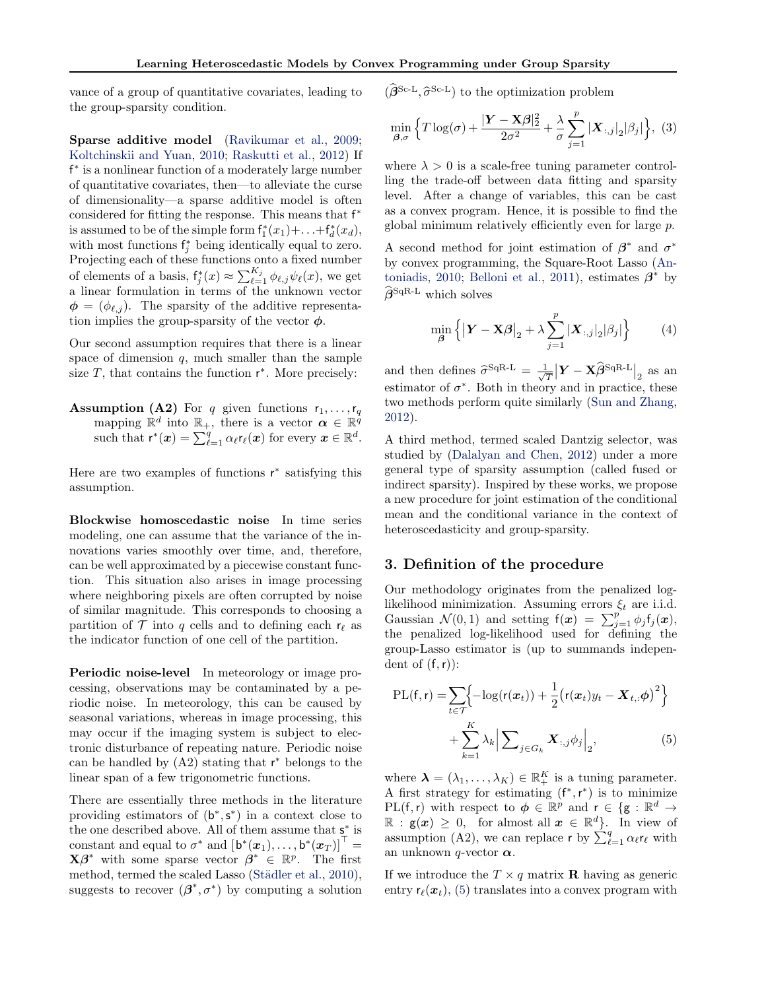vance of a group of quantitative covariates, leading to the group-sparsity condition.

Sparse additive model (Ravikumar et al., 2009; Koltchinskii and Yuan, 2010; Raskutti et al., 2012) If f<sup>\*</sup> is a nonlinear function of a moderately large number of quantitative covariates, then—to alleviate the curse of dimensionality—a sparse additive model is often considered for fitting the response. This means that  $f^*$ is assumed to be of the simple form  $f_1^*(x_1)+\ldots+f_d^*(x_d)$ , with most functions  $f_j^*$  being identically equal to zero. Projecting each of these functions onto a fixed number of elements of a basis,  $f_j^*(x) \approx \sum_{\ell=1}^{K_j} \phi_{\ell,j} \psi_{\ell}(x)$ , we get a linear formulation in terms of the unknown vector  $\phi = (\phi_{\ell,j})$ . The sparsity of the additive representation implies the group-sparsity of the vector  $\phi.$ 

Our second assumption requires that there is a linear space of dimension  $q$ , much smaller than the sample size  $T$ , that contains the function  $r^*$ . More precisely:

**Assumption (A2)** For q given functions  $r_1, \ldots, r_q$ mapping  $\mathbb{R}^d$  into  $\mathbb{R}_+$ , there is a vector  $\boldsymbol{\alpha} \in \mathbb{R}^{\hat{q}}$ such that  $\mathsf{r}^*(\boldsymbol{x}) = \sum_{\ell=1}^q \alpha_\ell \mathsf{r}_\ell(\boldsymbol{x})$  for every  $\boldsymbol{x} \in \mathbb{R}^d$ .

Here are two examples of functions  $r^*$  satisfying this assumption.

Blockwise homoscedastic noise In time series modeling, one can assume that the variance of the innovations varies smoothly over time, and, therefore, can be well approximated by a piecewise constant function. This situation also arises in image processing where neighboring pixels are often corrupted by noise of similar magnitude. This corresponds to choosing a partition of  $\mathcal T$  into q cells and to defining each  $r_\ell$  as the indicator function of one cell of the partition.

Periodic noise-level In meteorology or image processing, observations may be contaminated by a periodic noise. In meteorology, this can be caused by seasonal variations, whereas in image processing, this may occur if the imaging system is subject to electronic disturbance of repeating nature. Periodic noise can be handled by  $(A2)$  stating that  $r^*$  belongs to the linear span of a few trigonometric functions.

There are essentially three methods in the literature providing estimators of  $(b^*, s^*)$  in a context close to the one described above. All of them assume that  $s^*$  is constant and equal to  $\sigma^*$  and  $\left[\mathsf{b}^*(\bm{x}_1),\ldots,\mathsf{b}^*(\bm{x}_T)\right]^\top =$  $\mathbf{X}\boldsymbol{\beta}^*$  with some sparse vector  $\boldsymbol{\beta}^* \in \mathbb{R}^p$ . The first method, termed the scaled Lasso (Städler et al., 2010), suggests to recover  $(\beta^*, \sigma^*)$  by computing a solution

 $(\hat{\beta}^{\text{Sc-L}}, \hat{\sigma}^{\text{Sc-L}})$  to the optimization problem

$$
\min_{\boldsymbol{\beta}, \sigma} \left\{ T \log(\sigma) + \frac{|\mathbf{Y} - \mathbf{X}\boldsymbol{\beta}|_2^2}{2\sigma^2} + \frac{\lambda}{\sigma} \sum_{j=1}^p |\mathbf{X}_{:,j}|_2 |\beta_j| \right\}, (3)
$$

where  $\lambda > 0$  is a scale-free tuning parameter controlling the trade-off between data fitting and sparsity level. After a change of variables, this can be cast as a convex program. Hence, it is possible to find the global minimum relatively efficiently even for large p.

A second method for joint estimation of  $\beta^*$  and  $\sigma^*$ by convex programming, the Square-Root Lasso (Antoniadis, 2010; Belloni et al., 2011), estimates  $\beta^*$  by  $\widehat{\beta}^{\text{SqR-L}}$  which solves

$$
\min_{\boldsymbol{\beta}} \left\{ \left| \boldsymbol{Y} - \mathbf{X}\boldsymbol{\beta} \right|_2 + \lambda \sum_{j=1}^p |\boldsymbol{X}_{:,j}|_2 |\beta_j| \right\} \tag{4}
$$

and then defines  $\hat{\sigma}^{\text{SqR-L}} = \frac{1}{\sqrt{n}}$  $\frac{1}{T}\big\vert \boldsymbol{Y}-\mathbf{X}\widehat{\boldsymbol{\beta}}^\text{SqR-L}\big\vert_2$  as an estimator of  $\sigma^*$ . Both in theory and in practice, these two methods perform quite similarly (Sun and Zhang, 2012).

A third method, termed scaled Dantzig selector, was studied by (Dalalyan and Chen, 2012) under a more general type of sparsity assumption (called fused or indirect sparsity). Inspired by these works, we propose a new procedure for joint estimation of the conditional mean and the conditional variance in the context of heteroscedasticity and group-sparsity.

#### 3. Definition of the procedure

Our methodology originates from the penalized loglikelihood minimization. Assuming errors  $\xi_t$  are i.i.d. Gaussian  $\mathcal{N}(0,1)$  and setting  $f(\mathbf{x}) = \sum_{j=1}^{p} \phi_j f_j(\mathbf{x}),$ the penalized log-likelihood used for defining the group-Lasso estimator is (up to summands independent of  $(f,r)$ :

$$
PL(f, r) = \sum_{t \in \mathcal{T}} \left\{ -\log(r(\boldsymbol{x}_t)) + \frac{1}{2} (r(\boldsymbol{x}_t) y_t - \boldsymbol{X}_{t,:} \boldsymbol{\phi})^2 \right\}
$$

$$
+ \sum_{k=1}^K \lambda_k \left| \sum_{j \in G_k} \boldsymbol{X}_{:,j} \phi_j \right|_2, \tag{5}
$$

where  $\boldsymbol{\lambda} = (\lambda_1, \dots, \lambda_K) \in \mathbb{R}_+^K$  is a tuning parameter. A first strategy for estimating  $(f^*, r^*)$  is to minimize PL(f, r) with respect to  $\phi \in \mathbb{R}^p$  and  $r \in \{g : \mathbb{R}^d \to$  $\mathbb{R} : g(x) \geq 0$ , for almost all  $x \in \mathbb{R}^d$ . In view of assumption (A2), we can replace r by  $\sum_{\ell=1}^{q} \alpha_{\ell} r_{\ell}$  with an unknown *q*-vector  $\alpha$ .

If we introduce the  $T \times q$  matrix **R** having as generic entry  $r_{\ell}(\mathbf{x}_t)$ , (5) translates into a convex program with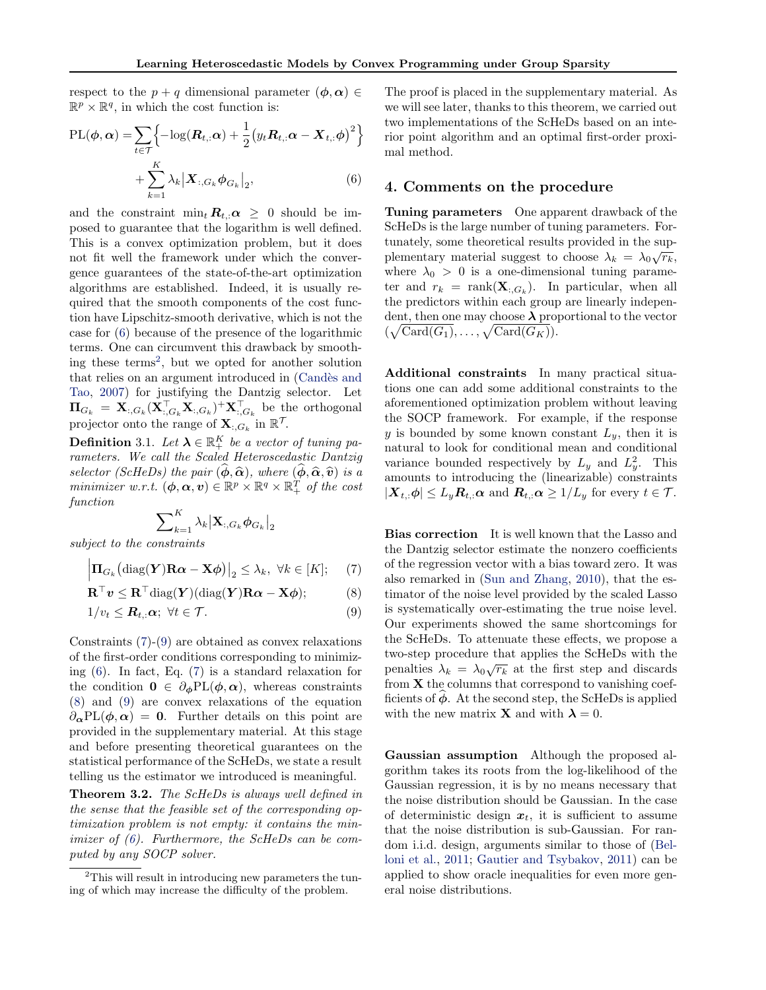respect to the  $p + q$  dimensional parameter  $(\phi, \alpha) \in$  $\mathbb{R}^p \times \mathbb{R}^q$ , in which the cost function is:

$$
PL(\boldsymbol{\phi}, \boldsymbol{\alpha}) = \sum_{t \in \mathcal{T}} \left\{ -\log(\boldsymbol{R}_{t,:} \boldsymbol{\alpha}) + \frac{1}{2} (y_t \boldsymbol{R}_{t,:} \boldsymbol{\alpha} - \boldsymbol{X}_{t,:} \boldsymbol{\phi})^2 \right\}
$$

$$
+ \sum_{k=1}^K \lambda_k |\boldsymbol{X}_{:,G_k} \boldsymbol{\phi}_{G_k}|_2, \tag{6}
$$

and the constraint  $\min_t \mathbf{R}_{t,:} \alpha \geq 0$  should be imposed to guarantee that the logarithm is well defined. This is a convex optimization problem, but it does not fit well the framework under which the convergence guarantees of the state-of-the-art optimization algorithms are established. Indeed, it is usually required that the smooth components of the cost function have Lipschitz-smooth derivative, which is not the case for (6) because of the presence of the logarithmic terms. One can circumvent this drawback by smoothing these terms<sup>2</sup>, but we opted for another solution that relies on an argument introduced in (Candès and Tao, 2007) for justifying the Dantzig selector. Let  $\Pi_{G_k} = \mathbf{X}_{:,G_k} (\mathbf{X}_{:,G_k}^\top \mathbf{X}_{:,G_k})^+ \mathbf{X}_{:,G_k}^\top$  be the orthogonal projector onto the range of  $\mathbf{X}_{:,G_k}$  in  $\mathbb{R}^{\mathcal{T}}$ .

**Definition** 3.1. Let  $\boldsymbol{\lambda} \in \mathbb{R}^K_+$  be a vector of tuning parameters. We call the Scaled Heteroscedastic Dantzig selector (ScHeDs) the pair  $(\phi, \hat{\alpha})$ , where  $(\phi, \hat{\alpha}, \hat{v})$  is a minimizer w.r.t.  $(\boldsymbol{\phi}, \boldsymbol{\alpha}, \boldsymbol{v}) \in \mathbb{R}^p \times \mathbb{R}^q \times \mathbb{R}^T_+$  of the cost function

$$
\sum\nolimits_{k=1}^K \lambda_k \big| \mathbf{X}_{:,G_k} \boldsymbol{\phi}_{G_k} \big|_2
$$

subject to the constraints

$$
\left|\mathbf{\Pi}_{G_k}\big(\mathrm{diag}(\boldsymbol{Y})\mathbf{R}\boldsymbol{\alpha}-\mathbf{X}\boldsymbol{\phi}\big)\right|_2\leq\lambda_k,\ \forall k\in[K];\tag{7}
$$

$$
\mathbf{R}^{\top}\mathbf{v} \leq \mathbf{R}^{\top}\text{diag}(\mathbf{Y})(\text{diag}(\mathbf{Y})\mathbf{R}\boldsymbol{\alpha} - \mathbf{X}\boldsymbol{\phi});\tag{8}
$$

$$
1/v_t \leq \mathbf{R}_{t,:} \alpha; \ \forall t \in \mathcal{T}.\tag{9}
$$

Constraints (7)-(9) are obtained as convex relaxations of the first-order conditions corresponding to minimizing (6). In fact, Eq. (7) is a standard relaxation for the condition  $0 \in \partial_{\phi} PL(\phi, \alpha)$ , whereas constraints (8) and (9) are convex relaxations of the equation  $\partial_{\alpha}PL(\phi,\alpha) = 0$ . Further details on this point are provided in the supplementary material. At this stage and before presenting theoretical guarantees on the statistical performance of the ScHeDs, we state a result telling us the estimator we introduced is meaningful.

Theorem 3.2. The ScHeDs is always well defined in the sense that the feasible set of the corresponding optimization problem is not empty: it contains the minimizer of  $(6)$ . Furthermore, the ScHeDs can be computed by any SOCP solver.

The proof is placed in the supplementary material. As we will see later, thanks to this theorem, we carried out two implementations of the ScHeDs based on an interior point algorithm and an optimal first-order proximal method.

#### 4. Comments on the procedure

Tuning parameters One apparent drawback of the ScHeDs is the large number of tuning parameters. Fortunately, some theoretical results provided in the supplementary material suggest to choose  $\lambda_k = \lambda_0 \sqrt{r_k}$ , where  $\lambda_0 > 0$  is a one-dimensional tuning parameter and  $r_k = \text{rank}(\mathbf{X}_{:,G_k})$ . In particular, when all the predictors within each group are linearly independent, then one may choose  $\lambda$  proportional to the vector  $(\sqrt{\mathrm{Card}(G_1)}, \ldots, \sqrt{\mathrm{Card}(G_K)}).$ 

Additional constraints In many practical situations one can add some additional constraints to the aforementioned optimization problem without leaving the SOCP framework. For example, if the response y is bounded by some known constant  $L_y$ , then it is natural to look for conditional mean and conditional variance bounded respectively by  $L_y$  and  $L_y^2$ . This amounts to introducing the (linearizable) constraints  $|\mathbf{X}_{t,:}\boldsymbol{\phi}| \leq L_y \boldsymbol{R}_{t,:}\boldsymbol{\alpha}$  and  $\boldsymbol{R}_{t,:}\boldsymbol{\alpha} \geq 1/L_y$  for every  $t \in \mathcal{T}$ .

Bias correction It is well known that the Lasso and the Dantzig selector estimate the nonzero coefficients of the regression vector with a bias toward zero. It was also remarked in (Sun and Zhang, 2010), that the estimator of the noise level provided by the scaled Lasso is systematically over-estimating the true noise level. Our experiments showed the same shortcomings for the ScHeDs. To attenuate these effects, we propose a two-step procedure that applies the ScHeDs with the  $\frac{1}{2}$ penalties  $\lambda_k = \lambda_0 \sqrt{r_k}$  at the first step and discards from  $X$  the columns that correspond to vanishing coefficients of  $\phi$ . At the second step, the ScHeDs is applied with the new matrix **X** and with  $\lambda = 0$ .

Gaussian assumption Although the proposed algorithm takes its roots from the log-likelihood of the Gaussian regression, it is by no means necessary that the noise distribution should be Gaussian. In the case of deterministic design  $x_t$ , it is sufficient to assume that the noise distribution is sub-Gaussian. For random i.i.d. design, arguments similar to those of (Belloni et al., 2011; Gautier and Tsybakov, 2011) can be applied to show oracle inequalities for even more general noise distributions.

<sup>&</sup>lt;sup>2</sup>This will result in introducing new parameters the tuning of which may increase the difficulty of the problem.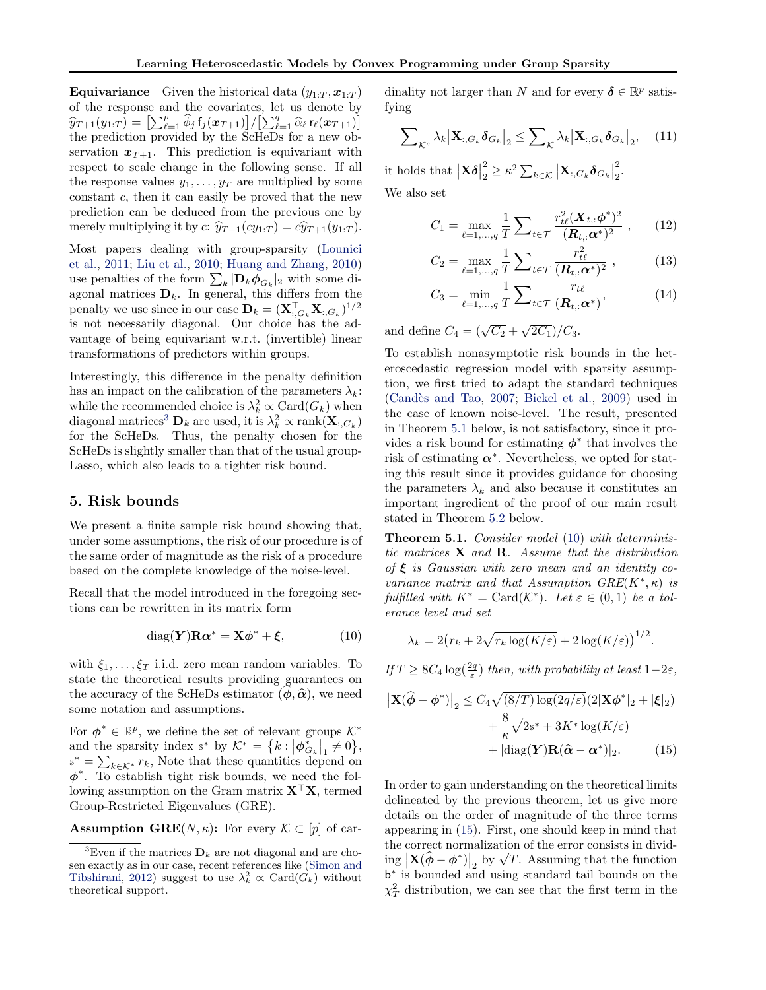**Equivariance** Given the historical data  $(y_{1:T}, x_{1:T})$ of the response and the covariates, let us denote by  $\widehat{y}_{T+1}(y_{1:T}) = \left[\sum_{\ell=1}^{p} \widehat{\phi}_j f_j(x_{T+1})\right] / \left[\sum_{\ell=1}^{q} \widehat{\alpha}_{\ell} t_{\ell}(x_{T+1})\right]$ the prediction provided by the ScHeDs for a new observation  $x_{T+1}$ . This prediction is equivariant with respect to scale change in the following sense. If all the response values  $y_1, \ldots, y_T$  are multiplied by some constant c, then it can easily be proved that the new prediction can be deduced from the previous one by merely multiplying it by c:  $\hat{y}_{T+1}(cy_{1:T}) = c\hat{y}_{T+1}(y_{1:T}).$ 

Most papers dealing with group-sparsity (Lounici et al., 2011; Liu et al., 2010; Huang and Zhang, 2010) use penalties of the form  $\sum_{k} |\mathbf{D}_k \phi_{G_k}|_2$  with some diagonal matrices  $\mathbf{D}_k$ . In general, this differs from the penalty we use since in our case  $\mathbf{D}_k = (\mathbf{X}_{:,G_k}^\top \mathbf{X}_{:,G_k})^{1/2}$ is not necessarily diagonal. Our choice has the advantage of being equivariant w.r.t. (invertible) linear transformations of predictors within groups.

Interestingly, this difference in the penalty definition has an impact on the calibration of the parameters  $\lambda_k$ : while the recommended choice is  $\lambda_k^2 \propto \text{Card}(G_k)$  when diagonal matrices<sup>3</sup>  $\mathbf{D}_k$  are used, it is  $\lambda_k^2 \propto \text{rank}(\mathbf{X}_{:,G_k})$ for the ScHeDs. Thus, the penalty chosen for the ScHeDs is slightly smaller than that of the usual group-Lasso, which also leads to a tighter risk bound.

#### 5. Risk bounds

We present a finite sample risk bound showing that, under some assumptions, the risk of our procedure is of the same order of magnitude as the risk of a procedure based on the complete knowledge of the noise-level.

Recall that the model introduced in the foregoing sections can be rewritten in its matrix form

$$
diag(\mathbf{Y})\mathbf{R}\alpha^* = \mathbf{X}\phi^* + \boldsymbol{\xi},\tag{10}
$$

with  $\xi_1, \ldots, \xi_T$  i.i.d. zero mean random variables. To state the theoretical results providing guarantees on the accuracy of the ScHeDs estimator  $(\phi, \hat{\alpha})$ , we need some notation and assumptions.

For  $\phi^* \in \mathbb{R}^p$ , we define the set of relevant groups  $\mathcal{K}^*$ and the sparsity index  $s^*$  by  $\mathcal{K}^* = \{k : |\phi_{G_k}^*|_1 \neq 0\},\$  $s^* = \sum_{k \in \mathcal{K}^*} r_k$ , Note that these quantities depend on  $\phi^*$ . To establish tight risk bounds, we need the following assumption on the Gram matrix  $X^{\top}X$ , termed Group-Restricted Eigenvalues (GRE).

**Assumption GRE** $(N, \kappa)$ : For every  $\mathcal{K} \subset [p]$  of car-

dinality not larger than N and for every  $\boldsymbol{\delta} \in \mathbb{R}^p$  satisfying

$$
\sum\nolimits_{\mathcal{K}^c} \lambda_k \big| \mathbf{X}_{:,G_k} \boldsymbol{\delta}_{G_k} \big|_2 \le \sum\nolimits_{\mathcal{K}} \lambda_k \big| \mathbf{X}_{:,G_k} \boldsymbol{\delta}_{G_k} \big|_2, \quad (11)
$$

it holds that  $|\mathbf{X}\boldsymbol{\delta}|$ 2  $\frac{2}{2} \geq \kappa^2 \sum_{k \in \mathcal{K}} \left| \mathbf{X}_{:,G_k} \boldsymbol{\delta}_{G_k} \right|$ 2  $\frac{2}{2}$ . We also set

> $C_1 = \max_{\ell=1,...,q}$ 1 T  $\sum_{t\in\mathcal{T}}$  $r^2_{t\ell}(\bm{X}_{t,:}\bm{\phi}^*)^2$  $(\boldsymbol{R}_{t,:}\boldsymbol{\alpha}^*)^2$  $(12)$

$$
C_2 = \max_{\ell=1,\dots,q} \frac{1}{T} \sum_{t \in \mathcal{T}} \frac{r_{t\ell}^2}{(\mathbf{R}_{t,:} \alpha^*)^2}, \quad (13)
$$

$$
C_3 = \min_{\ell=1,\dots,q} \frac{1}{T} \sum_{t \in \mathcal{T}} \frac{r_{t\ell}}{(\mathbf{R}_{t,:} \alpha^*)},\tag{14}
$$

and define  $C_4 = (\sqrt{C_2} + \sqrt{2C_1})/C_3$ .

To establish nonasymptotic risk bounds in the heteroscedastic regression model with sparsity assumption, we first tried to adapt the standard techniques (Candès and Tao, 2007; Bickel et al., 2009) used in the case of known noise-level. The result, presented in Theorem 5.1 below, is not satisfactory, since it provides a risk bound for estimating  $\phi^*$  that involves the risk of estimating  $\alpha^*$ . Nevertheless, we opted for stating this result since it provides guidance for choosing the parameters  $\lambda_k$  and also because it constitutes an important ingredient of the proof of our main result stated in Theorem 5.2 below.

Theorem 5.1. Consider model (10) with deterministic matrices  $X$  and  $R$ . Assume that the distribution of  $\xi$  is Gaussian with zero mean and an identity covariance matrix and that Assumption  $GRE(K^*, \kappa)$  is fulfilled with  $K^* = \text{Card}(\mathcal{K}^*)$ . Let  $\varepsilon \in (0,1)$  be a tolerance level and set

$$
\lambda_k = 2\big(r_k + 2\sqrt{r_k \log(K/\varepsilon)} + 2\log(K/\varepsilon)\big)^{1/2}.
$$

If  $T \geq 8C_4 \log(\frac{2q}{\varepsilon})$  then, with probability at least  $1-2\varepsilon$ ,

$$
\left|\mathbf{X}(\widehat{\boldsymbol{\phi}} - \boldsymbol{\phi}^*)\right|_2 \le C_4 \sqrt{(8/T) \log(2q/\varepsilon)} (2|\mathbf{X}\boldsymbol{\phi}^*|_2 + |\boldsymbol{\xi}|_2) + \frac{8}{\kappa} \sqrt{2s^* + 3K^* \log(K/\varepsilon)} + |\text{diag}(\mathbf{Y})\mathbf{R}(\widehat{\boldsymbol{\alpha}} - \boldsymbol{\alpha}^*)|_2. \tag{15}
$$

In order to gain understanding on the theoretical limits delineated by the previous theorem, let us give more details on the order of magnitude of the three terms appearing in (15). First, one should keep in mind that the correct normalization of the error consists in dividthe correct normalization of the error consists in divid-<br>ing  $\left|\mathbf{X}(\hat{\phi}-\phi^*)\right|_2$  by  $\sqrt{T}$ . Assuming that the function b ∗ is bounded and using standard tail bounds on the  $\chi^2_T$  distribution, we can see that the first term in the

<sup>&</sup>lt;sup>3</sup>Even if the matrices  $\mathbf{D}_k$  are not diagonal and are chosen exactly as in our case, recent references like (Simon and Tibshirani, 2012) suggest to use  $\lambda_k^2 \propto \text{Card}(\hat{G}_k)$  without theoretical support.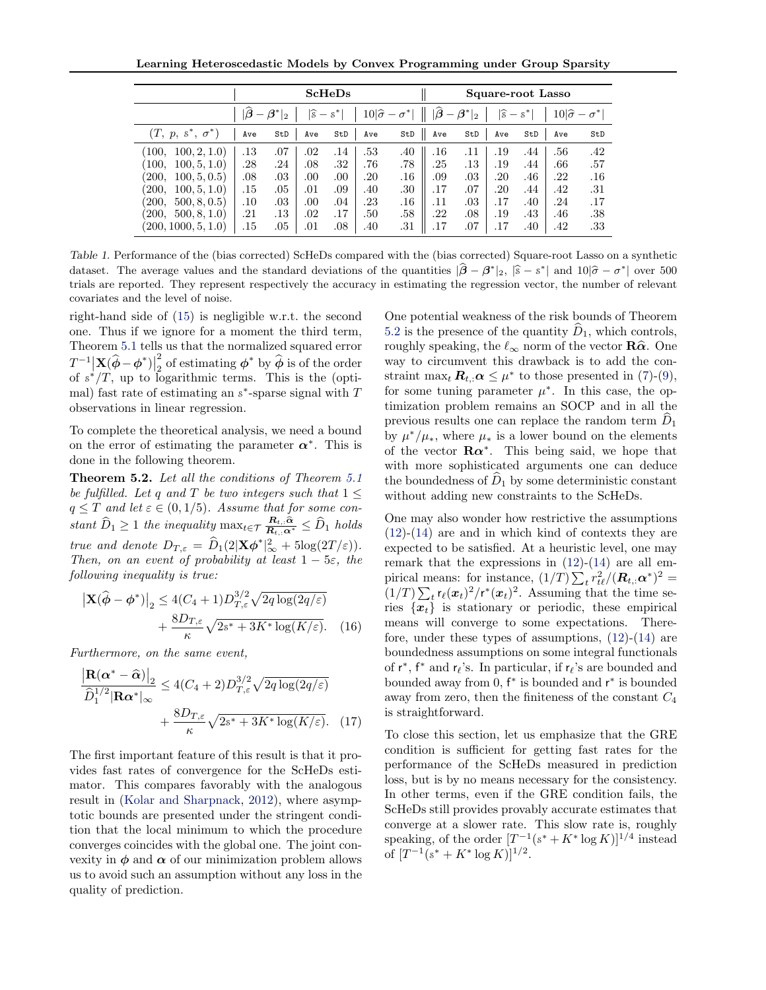Learning Heteroscedastic Models by Convex Programming under Group Sparsity

|                         | <b>ScHeDs</b> |                                                           |     |                       |     |                             | Square-root Lasso |                                                         |                       |     |     |                             |
|-------------------------|---------------|-----------------------------------------------------------|-----|-----------------------|-----|-----------------------------|-------------------|---------------------------------------------------------|-----------------------|-----|-----|-----------------------------|
|                         |               | $ \widehat{\boldsymbol{\beta}} - \boldsymbol{\beta}^* _2$ |     | $ \widehat{s} - s^* $ |     | $10 \hat{\sigma}-\sigma^* $ |                   | $ \widehat{\boldsymbol{\beta}}-\boldsymbol{\beta}^* _2$ | $ \widehat{s} - s^* $ |     |     | $10 \hat{\sigma}-\sigma^* $ |
| $(T, p, s^*, \sigma^*)$ | Ave           | StD                                                       | Ave | StD                   | Ave | StD                         | Ave               | StD                                                     | Ave                   | StD | Ave | StD                         |
| 100.<br>100, 2, 1.0     | .13           | .07                                                       | .02 | .14                   | .53 | .40                         | .16               | .11                                                     | .19                   | .44 | .56 | .42                         |
| 100, 5, 1.0<br>100,     | .28           | .24                                                       | .08 | .32                   | .76 | .78                         | .25               | $.13\,$                                                 | .19                   | .44 | .66 | .57                         |
| 100, 5, 0.5<br>200,     | .08           | .03                                                       | .00 | .00                   | .20 | .16                         | .09               | .03                                                     | .20                   | .46 | .22 | .16                         |
| 200,<br>100, 5, 1.0     | .15           | .05                                                       | .01 | .09                   | .40 | .30                         | .17               | .07                                                     | .20                   | .44 | .42 | .31                         |
| 500, 8, 0.5<br>200,     | $.10\,$       | .03                                                       | .00 | .04                   | .23 | .16                         | .11               | .03                                                     | .17                   | .40 | .24 | .17                         |
| 500, 8, 1.0<br>200,     | .21           | .13                                                       | .02 | .17                   | .50 | .58                         | .22               | .08                                                     | .19                   | .43 | .46 | .38                         |
| (200, 1000, 5, 1.0)     | .15           | .05                                                       | .01 | .08                   | .40 | .31                         | .17               | .07                                                     | .17                   | .40 | .42 | .33                         |

Table 1. Performance of the (bias corrected) ScHeDs compared with the (bias corrected) Square-root Lasso on a synthetic dataset. The average values and the standard deviations of the quantities  $|\hat{\boldsymbol{\beta}} - \boldsymbol{\beta}^*|_2$ ,  $|\hat{s} - s^*|$  and  $10|\hat{\sigma} - \sigma^*|$  over 500<br>trials are reported. They represent reportively the accuracy in estimating the rep trials are reported. They represent respectively the accuracy in estimating the regression vector, the number of relevant covariates and the level of noise.

right-hand side of (15) is negligible w.r.t. the second one. Thus if we ignore for a moment the third term, Theorem 5.1 tells us that the normalized squared error  $T^{-1} \Big|\mathbf{X}(\widehat{\boldsymbol{\phi}}-\boldsymbol{\phi}^*)\Big|_0$ 2  $T^{-1}|\mathbf{X}(\widehat{\boldsymbol{\phi}}-\boldsymbol{\phi}^*)|_2^2$  of estimating  $\boldsymbol{\phi}^*$  by  $\widehat{\boldsymbol{\phi}}$  is of the order of  $s^*/T$ , up to logarithmic terms. This is the (optimal) fast rate of estimating an  $s^*$ -sparse signal with  $T$ observations in linear regression.

To complete the theoretical analysis, we need a bound on the error of estimating the parameter  $\alpha^*$ . This is done in the following theorem.

Theorem 5.2. Let all the conditions of Theorem 5.1 be fulfilled. Let q and T be two integers such that  $1 \leq$  $q \leq T$  and let  $\varepsilon \in (0, 1/5)$ . Assume that for some constant  $\widehat{D}_1 \geq 1$  the inequality  $\max_{t \in \mathcal{T}} \frac{R_{t,:} \widehat{\alpha}}{R_{t,:} \alpha^*} \leq \widehat{D}_1$  holds true and denote  $D_{T,\varepsilon} = \widehat{D}_1(2|\mathbf{X}\boldsymbol{\phi}^*|_{\infty}^2 + 5\log(2T/\varepsilon)).$ Then, on an event of probability at least  $1 - 5\varepsilon$ , the following inequality is true:

$$
\left|\mathbf{X}(\widehat{\boldsymbol{\phi}}-\boldsymbol{\phi}^*)\right|_2 \le 4(C_4+1)D_{T,\varepsilon}^{3/2}\sqrt{2q\log(2q/\varepsilon)}
$$

$$
+\frac{8D_{T,\varepsilon}}{\kappa}\sqrt{2s^*+3K^*\log(K/\varepsilon)}. (16)
$$

Furthermore, on the same event,

$$
\frac{\left|\mathbf{R}(\boldsymbol{\alpha}^* - \widehat{\boldsymbol{\alpha}})\right|_2}{\widehat{D}_1^{1/2} |\mathbf{R}\boldsymbol{\alpha}^*|_\infty} \le 4(C_4 + 2) D_{T,\varepsilon}^{3/2} \sqrt{2q \log(2q/\varepsilon)}
$$

$$
+ \frac{8D_{T,\varepsilon}}{\kappa} \sqrt{2s^* + 3K^* \log(K/\varepsilon)}. (17)
$$

The first important feature of this result is that it provides fast rates of convergence for the ScHeDs estimator. This compares favorably with the analogous result in (Kolar and Sharpnack, 2012), where asymptotic bounds are presented under the stringent condition that the local minimum to which the procedure converges coincides with the global one. The joint convexity in  $\phi$  and  $\alpha$  of our minimization problem allows us to avoid such an assumption without any loss in the quality of prediction.

One potential weakness of the risk bounds of Theorem 5.2 is the presence of the quantity  $D_1$ , which controls, roughly speaking, the  $\ell_{\infty}$  norm of the vector  $\mathbf{R}\hat{\alpha}$ . One way to circumvent this drawback is to add the constraint max<sub>t</sub>  $\mathbf{R}_{t,:}$   $\alpha \leq \mu^*$  to those presented in (7)-(9), for some tuning parameter  $\mu^*$ . In this case, the optimization problem remains an SOCP and in all the previous results one can replace the random term  $D_1$ by  $\mu^*/\mu_*$ , where  $\mu_*$  is a lower bound on the elements of the vector  $\mathbf{R}\alpha^*$ . This being said, we hope that with more sophisticated arguments one can deduce the boundedness of  $\hat{D}_1$  by some deterministic constant without adding new constraints to the ScHeDs.

One may also wonder how restrictive the assumptions (12)-(14) are and in which kind of contexts they are expected to be satisfied. At a heuristic level, one may remark that the expressions in  $(12)-(14)$  are all empirical means: for instance,  $(1/T) \sum_t r_{t\ell}^2 / (\mathbf{R}_{t,:} \boldsymbol{\alpha}^*)^2 =$  $(1/T) \sum_t r_\ell(\boldsymbol{x}_t)^2 / r^*(\boldsymbol{x}_t)^2$ . Assuming that the time series  $\{x_t\}$  is stationary or periodic, these empirical means will converge to some expectations. Therefore, under these types of assumptions, (12)-(14) are boundedness assumptions on some integral functionals of  $r^*$ ,  $f^*$  and  $r_\ell$ 's. In particular, if  $r_\ell$ 's are bounded and bounded away from 0, f ∗ is bounded and r ∗ is bounded away from zero, then the finiteness of the constant  $C_4$ is straightforward.

To close this section, let us emphasize that the GRE condition is sufficient for getting fast rates for the performance of the ScHeDs measured in prediction loss, but is by no means necessary for the consistency. In other terms, even if the GRE condition fails, the ScHeDs still provides provably accurate estimates that converge at a slower rate. This slow rate is, roughly speaking, of the order  $[T^{-1}(s^* + K^* \log K)]^{1/4}$  instead of  $[T^{-1}(s^* + K^* \log K)]^{1/2}$ .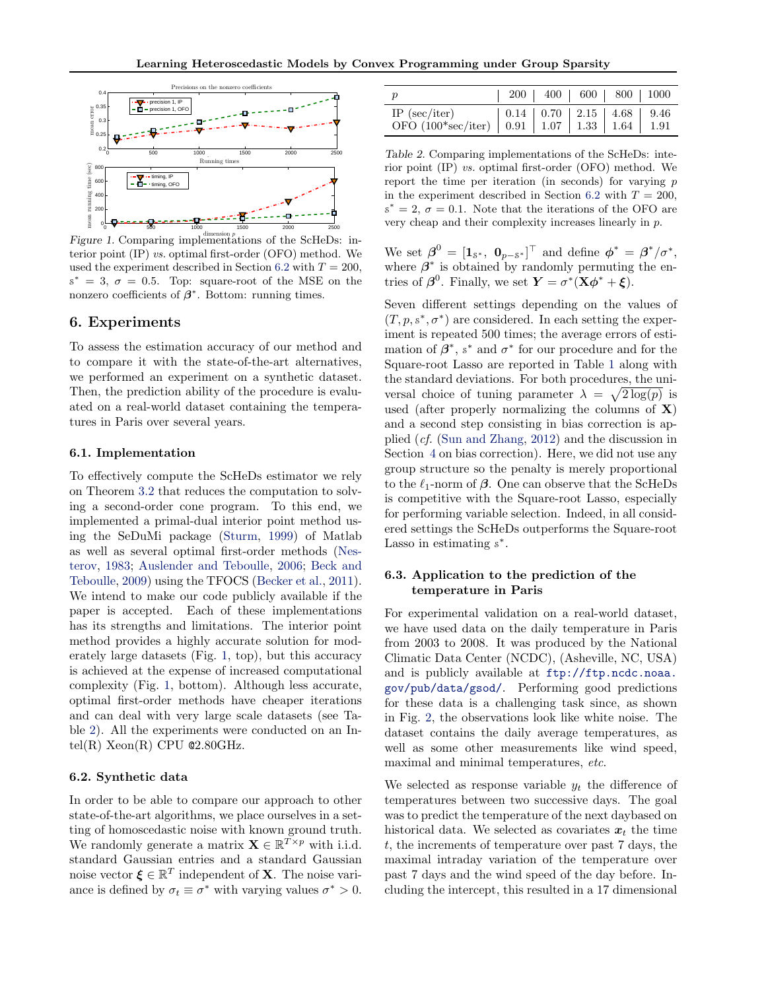

Figure 1. Comparing implementations of the ScHeDs: interior point (IP) vs. optimal first-order (OFO) method. We used the experiment described in Section 6.2 with  $T = 200$ ,  $s^* = 3, \sigma = 0.5$ . Top: square-root of the MSE on the nonzero coefficients of  $\beta^*$ . Bottom: running times.

#### 6. Experiments

To assess the estimation accuracy of our method and to compare it with the state-of-the-art alternatives, we performed an experiment on a synthetic dataset. Then, the prediction ability of the procedure is evaluated on a real-world dataset containing the temperatures in Paris over several years.

#### 6.1. Implementation

To effectively compute the ScHeDs estimator we rely on Theorem 3.2 that reduces the computation to solving a second-order cone program. To this end, we implemented a primal-dual interior point method using the SeDuMi package (Sturm, 1999) of Matlab as well as several optimal first-order methods (Nesterov, 1983; Auslender and Teboulle, 2006; Beck and Teboulle, 2009) using the TFOCS (Becker et al., 2011). We intend to make our code publicly available if the paper is accepted. Each of these implementations has its strengths and limitations. The interior point method provides a highly accurate solution for moderately large datasets (Fig. 1, top), but this accuracy is achieved at the expense of increased computational complexity (Fig. 1, bottom). Although less accurate, optimal first-order methods have cheaper iterations and can deal with very large scale datasets (see Table 2). All the experiments were conducted on an Intel(R)  $Xeon(R)$  CPU  $@2.80GHz$ .

#### 6.2. Synthetic data

In order to be able to compare our approach to other state-of-the-art algorithms, we place ourselves in a setting of homoscedastic noise with known ground truth. We randomly generate a matrix  $\mathbf{X} \in \mathbb{R}^{T \times p}$  with i.i.d. standard Gaussian entries and a standard Gaussian noise vector  $\boldsymbol{\xi} \in \mathbb{R}^T$  independent of **X**. The noise variance is defined by  $\sigma_t \equiv \sigma^*$  with varying values  $\sigma^* > 0$ .

| $\boldsymbol{p}$                                                                                                                                                                                 |  | 200   400   600   800   1000 |  |
|--------------------------------------------------------------------------------------------------------------------------------------------------------------------------------------------------|--|------------------------------|--|
| $\begin{array}{ c c c c c c c c c } \hline \text{IP (sec/iter)} & 0.14 & 0.70 & 2.15 & 4.68 & 9.46 \\ \hline \text{OFO (100*sec/iter)} & 0.91 & 1.07 & 1.33 & 1.64 & 1.91 \\ \hline \end{array}$ |  |                              |  |

Table 2. Comparing implementations of the ScHeDs: interior point (IP) vs. optimal first-order (OFO) method. We report the time per iteration (in seconds) for varying  $p$ in the experiment described in Section 6.2 with  $T = 200$ ,  $s^* = 2, \sigma = 0.1$ . Note that the iterations of the OFO are very cheap and their complexity increases linearly in p.

We set  $\boldsymbol{\beta}^0 = [\mathbf{1}_{s^*}, \ \mathbf{0}_{p-s^*}]^\top$  and define  $\boldsymbol{\phi}^* = \boldsymbol{\beta}^*/\sigma^*$ , where  $\beta^*$  is obtained by randomly permuting the entries of  $\beta^0$ . Finally, we set  $\mathbf{Y} = \sigma^*(\mathbf{X}\phi^* + \xi)$ .

Seven different settings depending on the values of  $(T, p, s^*, \sigma^*)$  are considered. In each setting the experiment is repeated 500 times; the average errors of estimation of  $\beta^*$ , s<sup>\*</sup> and  $\sigma^*$  for our procedure and for the Square-root Lasso are reported in Table 1 along with the standard deviations. For both procedures, the universal choice of tuning parameter  $\lambda = \sqrt{2 \log(p)}$  is used (after properly normalizing the columns of  $X$ ) and a second step consisting in bias correction is applied (cf. (Sun and Zhang, 2012) and the discussion in Section 4 on bias correction). Here, we did not use any group structure so the penalty is merely proportional to the  $\ell_1$ -norm of  $\beta$ . One can observe that the ScHeDs is competitive with the Square-root Lasso, especially for performing variable selection. Indeed, in all considered settings the ScHeDs outperforms the Square-root Lasso in estimating  $s^*$ .

### 6.3. Application to the prediction of the temperature in Paris

For experimental validation on a real-world dataset, we have used data on the daily temperature in Paris from 2003 to 2008. It was produced by the National Climatic Data Center (NCDC), (Asheville, NC, USA) and is publicly available at [ftp://ftp.ncdc.noaa.](ftp://ftp.ncdc.noaa.gov/pub/data/gsod/) [gov/pub/data/gsod/](ftp://ftp.ncdc.noaa.gov/pub/data/gsod/). Performing good predictions for these data is a challenging task since, as shown in Fig. 2, the observations look like white noise. The dataset contains the daily average temperatures, as well as some other measurements like wind speed, maximal and minimal temperatures, etc.

We selected as response variable  $y_t$  the difference of temperatures between two successive days. The goal was to predict the temperature of the next daybased on historical data. We selected as covariates  $x_t$  the time t, the increments of temperature over past 7 days, the maximal intraday variation of the temperature over past 7 days and the wind speed of the day before. Including the intercept, this resulted in a 17 dimensional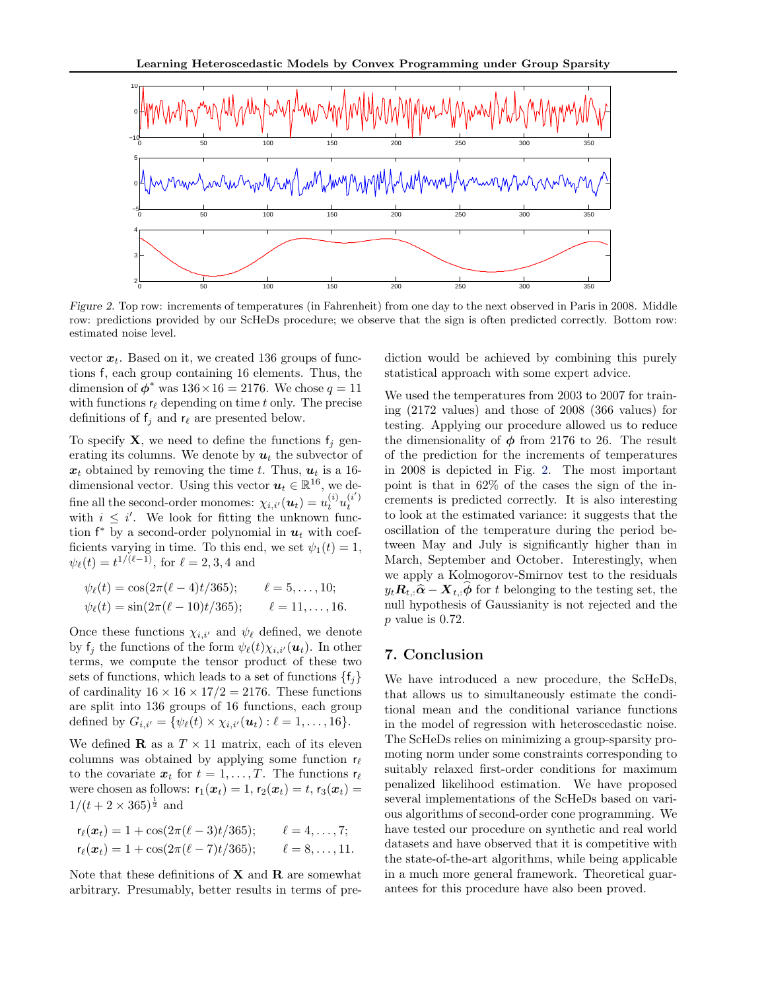

Figure 2. Top row: increments of temperatures (in Fahrenheit) from one day to the next observed in Paris in 2008. Middle row: predictions provided by our ScHeDs procedure; we observe that the sign is often predicted correctly. Bottom row: estimated noise level.

vector  $x_t$ . Based on it, we created 136 groups of functions f, each group containing 16 elements. Thus, the dimension of  $\phi^*$  was  $136 \times 16 = 2176$ . We chose  $q = 11$ with functions  $r_\ell$  depending on time t only. The precise definitions of  $f_j$  and  $r_\ell$  are presented below.

To specify **X**, we need to define the functions  $f_j$  generating its columns. We denote by  $u_t$  the subvector of  $x_t$  obtained by removing the time t. Thus,  $u_t$  is a 16dimensional vector. Using this vector  $u_t \in \mathbb{R}^{16}$ , we define all the second-order monomes:  $\chi_{i,i'}(\boldsymbol{u}_t) = u_t^{(i)} u_t^{(i')}$ with  $i \leq i'$ . We look for fitting the unknown function  $f^*$  by a second-order polynomial in  $u_t$  with coefficients varying in time. To this end, we set  $\psi_1(t) = 1$ ,  $\psi_{\ell}(t) = t^{1/(\ell-1)}$ , for  $\ell = 2, 3, 4$  and

$$
\psi_{\ell}(t) = \cos(2\pi(\ell-4)t/365);
$$
  $\ell = 5,..., 10;$   
\n $\psi_{\ell}(t) = \sin(2\pi(\ell-10)t/365);$   $\ell = 11,..., 16.$ 

Once these functions  $\chi_{i,i'}$  and  $\psi_{\ell}$  defined, we denote by  $f_i$  the functions of the form  $\psi_{\ell}(t)\chi_{i,i'}(\boldsymbol{u}_t)$ . In other terms, we compute the tensor product of these two sets of functions, which leads to a set of functions  $\{f_i\}$ of cardinality  $16 \times 16 \times 17/2 = 2176$ . These functions are split into 136 groups of 16 functions, each group defined by  $G_{i,i'} = {\psi_{\ell}(t) \times \chi_{i,i'}(\boldsymbol{u}_t) : \ell = 1, \ldots, 16}.$ 

We defined **R** as a  $T \times 11$  matrix, each of its eleven columns was obtained by applying some function  $r_\ell$ to the covariate  $x_t$  for  $t = 1, \ldots, T$ . The functions  $r_\ell$ were chosen as follows:  $r_1(x_t) = 1$ ,  $r_2(x_t) = t$ ,  $r_3(x_t) =$  $1/(t+2\times 365)^{\frac{1}{2}}$  and

$$
r_{\ell}(\boldsymbol{x}_t) = 1 + \cos(2\pi(\ell-3)t/365); \qquad \ell = 4,\ldots,7; \nr_{\ell}(\boldsymbol{x}_t) = 1 + \cos(2\pi(\ell-7)t/365); \qquad \ell = 8,\ldots,11.
$$

Note that these definitions of  $X$  and  $R$  are somewhat arbitrary. Presumably, better results in terms of prediction would be achieved by combining this purely statistical approach with some expert advice.

We used the temperatures from 2003 to 2007 for training (2172 values) and those of 2008 (366 values) for testing. Applying our procedure allowed us to reduce the dimensionality of  $\phi$  from 2176 to 26. The result of the prediction for the increments of temperatures in 2008 is depicted in Fig. 2. The most important point is that in 62% of the cases the sign of the increments is predicted correctly. It is also interesting to look at the estimated variance: it suggests that the oscillation of the temperature during the period between May and July is significantly higher than in March, September and October. Interestingly, when we apply a Kolmogorov-Smirnov test to the residuals  $y_t \mathbf{R}_{t,:} \hat{\boldsymbol{\alpha}} - \mathbf{X}_{t,:} \hat{\boldsymbol{\phi}}$  for t belonging to the testing set, the null hypothesis of Gaussianity is not rejected and the  $p$  value is 0.72.

#### 7. Conclusion

We have introduced a new procedure, the ScHeDs, that allows us to simultaneously estimate the conditional mean and the conditional variance functions in the model of regression with heteroscedastic noise. The ScHeDs relies on minimizing a group-sparsity promoting norm under some constraints corresponding to suitably relaxed first-order conditions for maximum penalized likelihood estimation. We have proposed several implementations of the ScHeDs based on various algorithms of second-order cone programming. We have tested our procedure on synthetic and real world datasets and have observed that it is competitive with the state-of-the-art algorithms, while being applicable in a much more general framework. Theoretical guarantees for this procedure have also been proved.